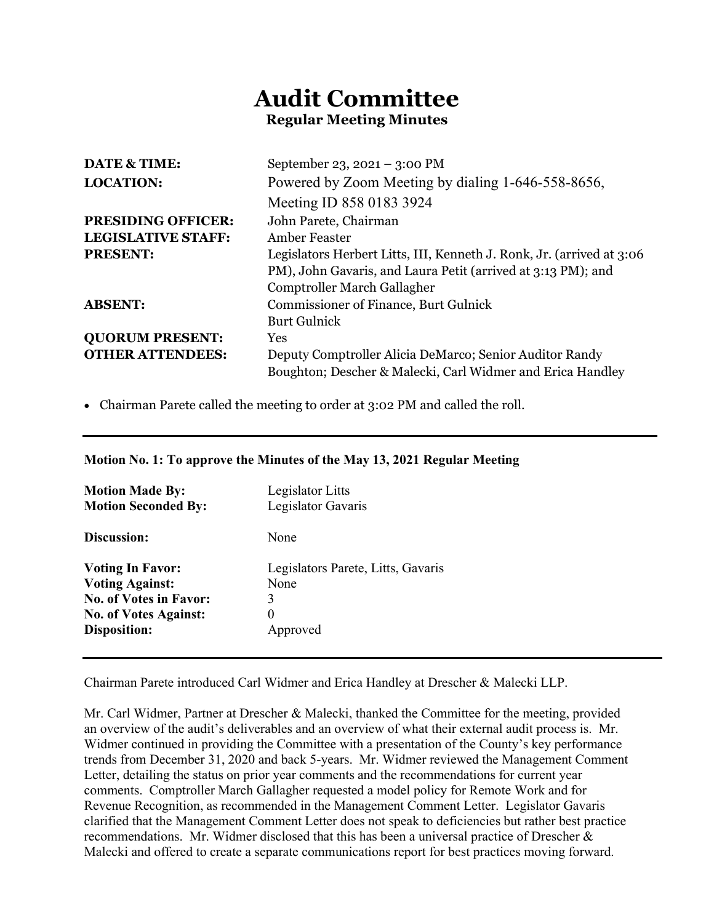# **Audit Committee Regular Meeting Minutes**

| <b>DATE &amp; TIME:</b>   | September 23, 2021 – 3:00 PM                                          |
|---------------------------|-----------------------------------------------------------------------|
| <b>LOCATION:</b>          | Powered by Zoom Meeting by dialing 1-646-558-8656,                    |
|                           | Meeting ID 858 0183 3924                                              |
| <b>PRESIDING OFFICER:</b> | John Parete, Chairman                                                 |
| <b>LEGISLATIVE STAFF:</b> | Amber Feaster                                                         |
| <b>PRESENT:</b>           | Legislators Herbert Litts, III, Kenneth J. Ronk, Jr. (arrived at 3:06 |
|                           | PM), John Gavaris, and Laura Petit (arrived at 3:13 PM); and          |
|                           | Comptroller March Gallagher                                           |
| <b>ABSENT:</b>            | <b>Commissioner of Finance, Burt Gulnick</b>                          |
|                           | <b>Burt Gulnick</b>                                                   |
| <b>QUORUM PRESENT:</b>    | Yes                                                                   |
| <b>OTHER ATTENDEES:</b>   | Deputy Comptroller Alicia DeMarco; Senior Auditor Randy               |
|                           | Boughton; Descher & Malecki, Carl Widmer and Erica Handley            |

• Chairman Parete called the meeting to order at 3:02 PM and called the roll.

# **Motion No. 1: To approve the Minutes of the May 13, 2021 Regular Meeting**

| <b>Motion Made By:</b><br><b>Motion Seconded By:</b> | Legislator Litts<br>Legislator Gavaris     |
|------------------------------------------------------|--------------------------------------------|
| Discussion:                                          | None                                       |
| <b>Voting In Favor:</b><br><b>Voting Against:</b>    | Legislators Parete, Litts, Gavaris<br>None |
| <b>No. of Votes in Favor:</b>                        | 3                                          |
| <b>No. of Votes Against:</b>                         | $\theta$                                   |
| <b>Disposition:</b>                                  | Approved                                   |

Chairman Parete introduced Carl Widmer and Erica Handley at Drescher & Malecki LLP.

Mr. Carl Widmer, Partner at Drescher & Malecki, thanked the Committee for the meeting, provided an overview of the audit's deliverables and an overview of what their external audit process is. Mr. Widmer continued in providing the Committee with a presentation of the County's key performance trends from December 31, 2020 and back 5-years. Mr. Widmer reviewed the Management Comment Letter, detailing the status on prior year comments and the recommendations for current year comments. Comptroller March Gallagher requested a model policy for Remote Work and for Revenue Recognition, as recommended in the Management Comment Letter. Legislator Gavaris clarified that the Management Comment Letter does not speak to deficiencies but rather best practice recommendations. Mr. Widmer disclosed that this has been a universal practice of Drescher & Malecki and offered to create a separate communications report for best practices moving forward.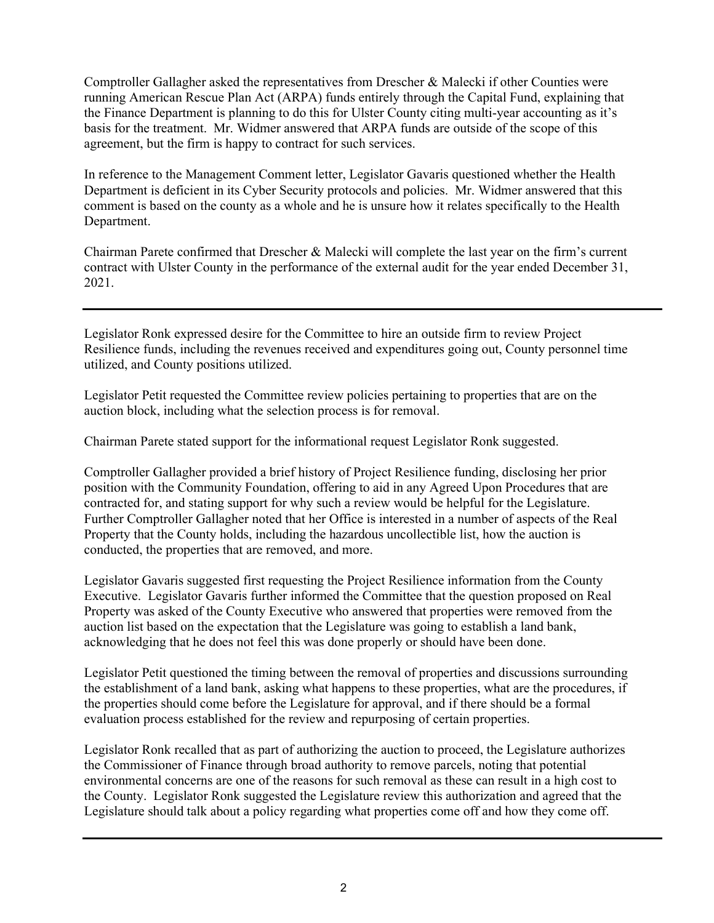Comptroller Gallagher asked the representatives from Drescher & Malecki if other Counties were running American Rescue Plan Act (ARPA) funds entirely through the Capital Fund, explaining that the Finance Department is planning to do this for Ulster County citing multi-year accounting as it's basis for the treatment. Mr. Widmer answered that ARPA funds are outside of the scope of this agreement, but the firm is happy to contract for such services.

In reference to the Management Comment letter, Legislator Gavaris questioned whether the Health Department is deficient in its Cyber Security protocols and policies. Mr. Widmer answered that this comment is based on the county as a whole and he is unsure how it relates specifically to the Health Department.

Chairman Parete confirmed that Drescher & Malecki will complete the last year on the firm's current contract with Ulster County in the performance of the external audit for the year ended December 31, 2021.

Legislator Ronk expressed desire for the Committee to hire an outside firm to review Project Resilience funds, including the revenues received and expenditures going out, County personnel time utilized, and County positions utilized.

Legislator Petit requested the Committee review policies pertaining to properties that are on the auction block, including what the selection process is for removal.

Chairman Parete stated support for the informational request Legislator Ronk suggested.

Comptroller Gallagher provided a brief history of Project Resilience funding, disclosing her prior position with the Community Foundation, offering to aid in any Agreed Upon Procedures that are contracted for, and stating support for why such a review would be helpful for the Legislature. Further Comptroller Gallagher noted that her Office is interested in a number of aspects of the Real Property that the County holds, including the hazardous uncollectible list, how the auction is conducted, the properties that are removed, and more.

Legislator Gavaris suggested first requesting the Project Resilience information from the County Executive. Legislator Gavaris further informed the Committee that the question proposed on Real Property was asked of the County Executive who answered that properties were removed from the auction list based on the expectation that the Legislature was going to establish a land bank, acknowledging that he does not feel this was done properly or should have been done.

Legislator Petit questioned the timing between the removal of properties and discussions surrounding the establishment of a land bank, asking what happens to these properties, what are the procedures, if the properties should come before the Legislature for approval, and if there should be a formal evaluation process established for the review and repurposing of certain properties.

Legislator Ronk recalled that as part of authorizing the auction to proceed, the Legislature authorizes the Commissioner of Finance through broad authority to remove parcels, noting that potential environmental concerns are one of the reasons for such removal as these can result in a high cost to the County. Legislator Ronk suggested the Legislature review this authorization and agreed that the Legislature should talk about a policy regarding what properties come off and how they come off.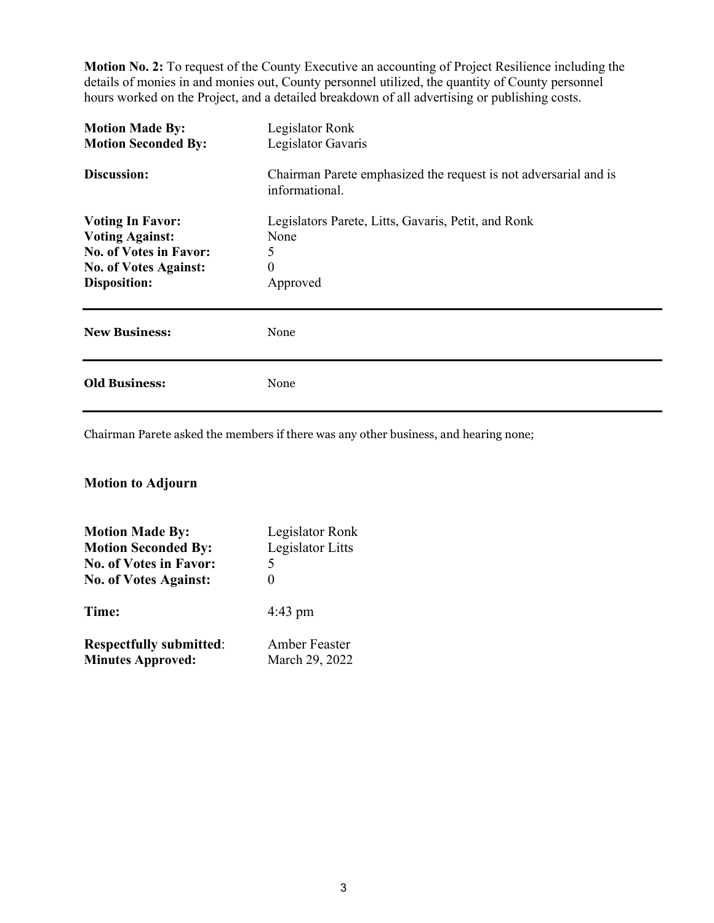**Motion No. 2:** To request of the County Executive an accounting of Project Resilience including the details of monies in and monies out, County personnel utilized, the quantity of County personnel hours worked on the Project, and a detailed breakdown of all advertising or publishing costs.

| <b>Motion Made By:</b><br><b>Motion Seconded By:</b>                                                                                      | Legislator Ronk<br>Legislator Gavaris                                                    |
|-------------------------------------------------------------------------------------------------------------------------------------------|------------------------------------------------------------------------------------------|
| Discussion:                                                                                                                               | Chairman Parete emphasized the request is not adversarial and is<br>informational.       |
| <b>Voting In Favor:</b><br><b>Voting Against:</b><br><b>No. of Votes in Favor:</b><br><b>No. of Votes Against:</b><br><b>Disposition:</b> | Legislators Parete, Litts, Gavaris, Petit, and Ronk<br>None<br>5<br>$\theta$<br>Approved |
| <b>New Business:</b>                                                                                                                      | None                                                                                     |
| <b>Old Business:</b>                                                                                                                      | None                                                                                     |

Chairman Parete asked the members if there was any other business, and hearing none;

# **Motion to Adjourn**

| <b>Motion Made By:</b>         | Legislator Ronk  |
|--------------------------------|------------------|
| <b>Motion Seconded By:</b>     | Legislator Litts |
| <b>No. of Votes in Favor:</b>  | 5                |
| <b>No. of Votes Against:</b>   | 0                |
| Time:                          | $4:43$ pm        |
| <b>Respectfully submitted:</b> | Amber Feaster    |
| <b>Minutes Approved:</b>       | March 29, 2022   |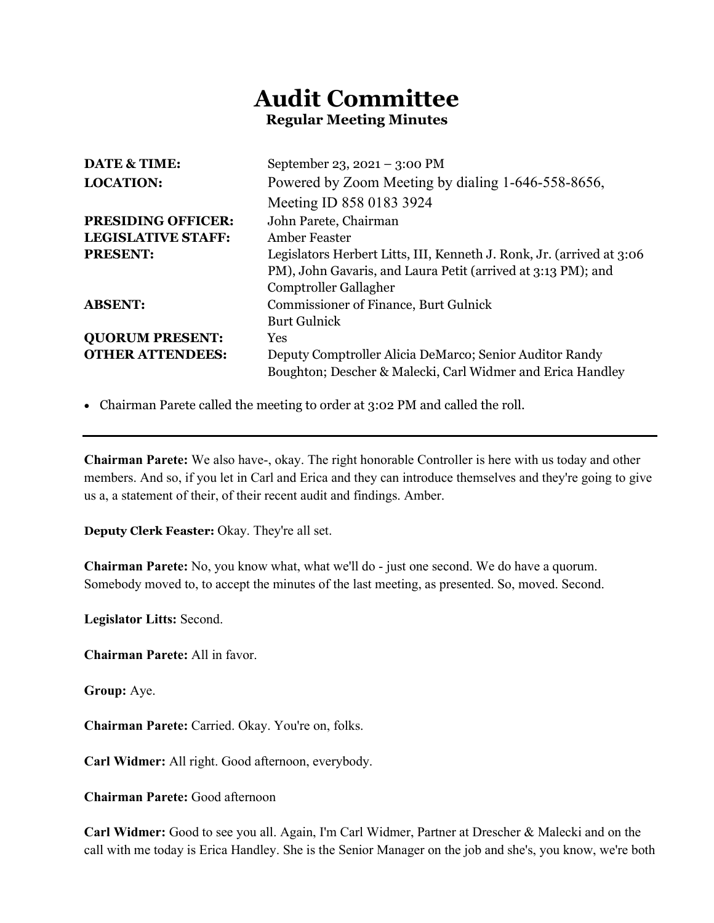# **Audit Committee Regular Meeting Minutes**

| <b>DATE &amp; TIME:</b>   | September 23, $2021 - 3:00 \text{ PM}$                                |
|---------------------------|-----------------------------------------------------------------------|
| <b>LOCATION:</b>          | Powered by Zoom Meeting by dialing 1-646-558-8656,                    |
|                           | Meeting ID 858 0183 3924                                              |
| <b>PRESIDING OFFICER:</b> | John Parete, Chairman                                                 |
| <b>LEGISLATIVE STAFF:</b> | Amber Feaster                                                         |
| <b>PRESENT:</b>           | Legislators Herbert Litts, III, Kenneth J. Ronk, Jr. (arrived at 3:06 |
|                           | PM), John Gavaris, and Laura Petit (arrived at 3:13 PM); and          |
|                           | Comptroller Gallagher                                                 |
| <b>ABSENT:</b>            | <b>Commissioner of Finance, Burt Gulnick</b>                          |
|                           | <b>Burt Gulnick</b>                                                   |
| <b>QUORUM PRESENT:</b>    | Yes                                                                   |
| <b>OTHER ATTENDEES:</b>   | Deputy Comptroller Alicia DeMarco; Senior Auditor Randy               |
|                           | Boughton; Descher & Malecki, Carl Widmer and Erica Handley            |

• Chairman Parete called the meeting to order at 3:02 PM and called the roll.

**Chairman Parete:** We also have-, okay. The right honorable Controller is here with us today and other members. And so, if you let in Carl and Erica and they can introduce themselves and they're going to give us a, a statement of their, of their recent audit and findings. Amber.

**Deputy Clerk Feaster:** Okay. They're all set.

**Chairman Parete:** No, you know what, what we'll do - just one second. We do have a quorum. Somebody moved to, to accept the minutes of the last meeting, as presented. So, moved. Second.

**Legislator Litts:** Second.

**Chairman Parete:** All in favor.

**Group:** Aye.

**Chairman Parete:** Carried. Okay. You're on, folks.

**Carl Widmer:** All right. Good afternoon, everybody.

**Chairman Parete:** Good afternoon

**Carl Widmer:** Good to see you all. Again, I'm Carl Widmer, Partner at Drescher & Malecki and on the call with me today is Erica Handley. She is the Senior Manager on the job and she's, you know, we're both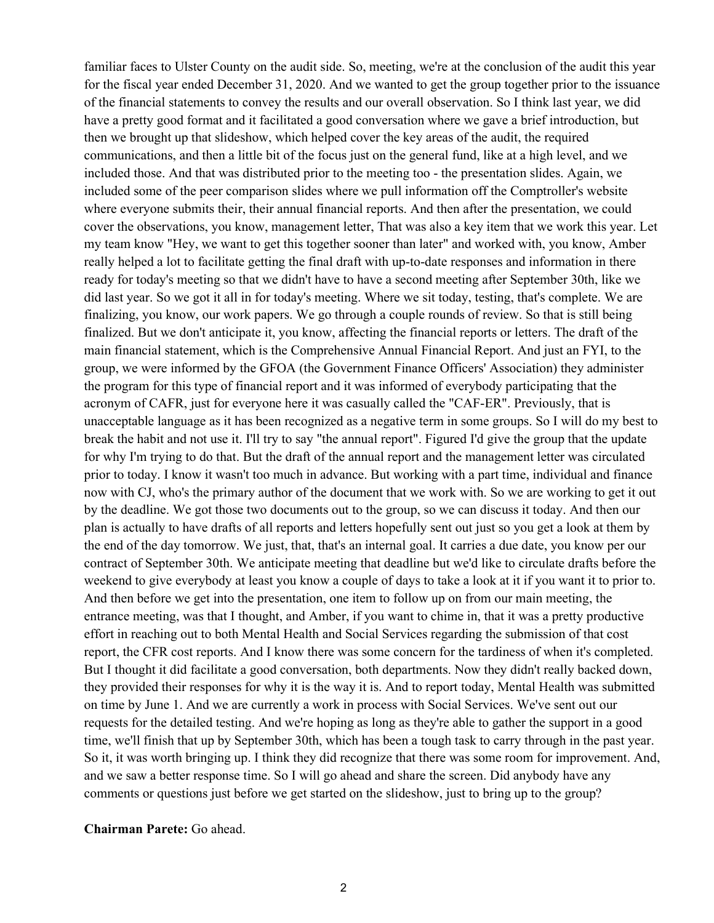familiar faces to Ulster County on the audit side. So, meeting, we're at the conclusion of the audit this year for the fiscal year ended December 31, 2020. And we wanted to get the group together prior to the issuance of the financial statements to convey the results and our overall observation. So I think last year, we did have a pretty good format and it facilitated a good conversation where we gave a brief introduction, but then we brought up that slideshow, which helped cover the key areas of the audit, the required communications, and then a little bit of the focus just on the general fund, like at a high level, and we included those. And that was distributed prior to the meeting too - the presentation slides. Again, we included some of the peer comparison slides where we pull information off the Comptroller's website where everyone submits their, their annual financial reports. And then after the presentation, we could cover the observations, you know, management letter, That was also a key item that we work this year. Let my team know "Hey, we want to get this together sooner than later" and worked with, you know, Amber really helped a lot to facilitate getting the final draft with up-to-date responses and information in there ready for today's meeting so that we didn't have to have a second meeting after September 30th, like we did last year. So we got it all in for today's meeting. Where we sit today, testing, that's complete. We are finalizing, you know, our work papers. We go through a couple rounds of review. So that is still being finalized. But we don't anticipate it, you know, affecting the financial reports or letters. The draft of the main financial statement, which is the Comprehensive Annual Financial Report. And just an FYI, to the group, we were informed by the GFOA (the Government Finance Officers' Association) they administer the program for this type of financial report and it was informed of everybody participating that the acronym of CAFR, just for everyone here it was casually called the "CAF-ER". Previously, that is unacceptable language as it has been recognized as a negative term in some groups. So I will do my best to break the habit and not use it. I'll try to say "the annual report". Figured I'd give the group that the update for why I'm trying to do that. But the draft of the annual report and the management letter was circulated prior to today. I know it wasn't too much in advance. But working with a part time, individual and finance now with CJ, who's the primary author of the document that we work with. So we are working to get it out by the deadline. We got those two documents out to the group, so we can discuss it today. And then our plan is actually to have drafts of all reports and letters hopefully sent out just so you get a look at them by the end of the day tomorrow. We just, that, that's an internal goal. It carries a due date, you know per our contract of September 30th. We anticipate meeting that deadline but we'd like to circulate drafts before the weekend to give everybody at least you know a couple of days to take a look at it if you want it to prior to. And then before we get into the presentation, one item to follow up on from our main meeting, the entrance meeting, was that I thought, and Amber, if you want to chime in, that it was a pretty productive effort in reaching out to both Mental Health and Social Services regarding the submission of that cost report, the CFR cost reports. And I know there was some concern for the tardiness of when it's completed. But I thought it did facilitate a good conversation, both departments. Now they didn't really backed down, they provided their responses for why it is the way it is. And to report today, Mental Health was submitted on time by June 1. And we are currently a work in process with Social Services. We've sent out our requests for the detailed testing. And we're hoping as long as they're able to gather the support in a good time, we'll finish that up by September 30th, which has been a tough task to carry through in the past year. So it, it was worth bringing up. I think they did recognize that there was some room for improvement. And, and we saw a better response time. So I will go ahead and share the screen. Did anybody have any comments or questions just before we get started on the slideshow, just to bring up to the group?

#### **Chairman Parete:** Go ahead.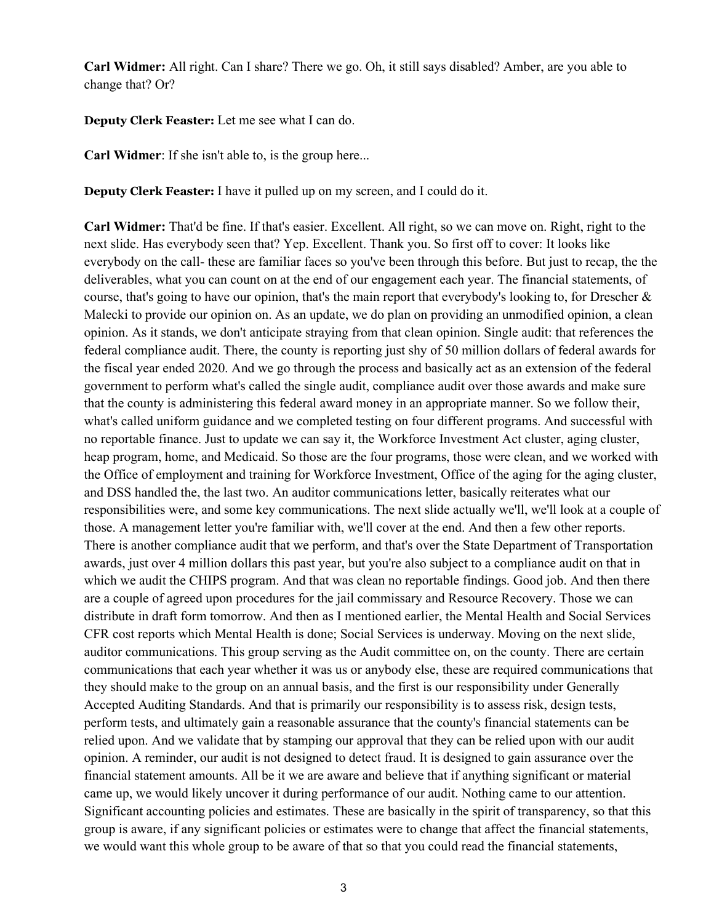**Carl Widmer:** All right. Can I share? There we go. Oh, it still says disabled? Amber, are you able to change that? Or?

**Deputy Clerk Feaster:** Let me see what I can do.

**Carl Widmer**: If she isn't able to, is the group here...

**Deputy Clerk Feaster:** I have it pulled up on my screen, and I could do it.

**Carl Widmer:** That'd be fine. If that's easier. Excellent. All right, so we can move on. Right, right to the next slide. Has everybody seen that? Yep. Excellent. Thank you. So first off to cover: It looks like everybody on the call- these are familiar faces so you've been through this before. But just to recap, the the deliverables, what you can count on at the end of our engagement each year. The financial statements, of course, that's going to have our opinion, that's the main report that everybody's looking to, for Drescher & Malecki to provide our opinion on. As an update, we do plan on providing an unmodified opinion, a clean opinion. As it stands, we don't anticipate straying from that clean opinion. Single audit: that references the federal compliance audit. There, the county is reporting just shy of 50 million dollars of federal awards for the fiscal year ended 2020. And we go through the process and basically act as an extension of the federal government to perform what's called the single audit, compliance audit over those awards and make sure that the county is administering this federal award money in an appropriate manner. So we follow their, what's called uniform guidance and we completed testing on four different programs. And successful with no reportable finance. Just to update we can say it, the Workforce Investment Act cluster, aging cluster, heap program, home, and Medicaid. So those are the four programs, those were clean, and we worked with the Office of employment and training for Workforce Investment, Office of the aging for the aging cluster, and DSS handled the, the last two. An auditor communications letter, basically reiterates what our responsibilities were, and some key communications. The next slide actually we'll, we'll look at a couple of those. A management letter you're familiar with, we'll cover at the end. And then a few other reports. There is another compliance audit that we perform, and that's over the State Department of Transportation awards, just over 4 million dollars this past year, but you're also subject to a compliance audit on that in which we audit the CHIPS program. And that was clean no reportable findings. Good job. And then there are a couple of agreed upon procedures for the jail commissary and Resource Recovery. Those we can distribute in draft form tomorrow. And then as I mentioned earlier, the Mental Health and Social Services CFR cost reports which Mental Health is done; Social Services is underway. Moving on the next slide, auditor communications. This group serving as the Audit committee on, on the county. There are certain communications that each year whether it was us or anybody else, these are required communications that they should make to the group on an annual basis, and the first is our responsibility under Generally Accepted Auditing Standards. And that is primarily our responsibility is to assess risk, design tests, perform tests, and ultimately gain a reasonable assurance that the county's financial statements can be relied upon. And we validate that by stamping our approval that they can be relied upon with our audit opinion. A reminder, our audit is not designed to detect fraud. It is designed to gain assurance over the financial statement amounts. All be it we are aware and believe that if anything significant or material came up, we would likely uncover it during performance of our audit. Nothing came to our attention. Significant accounting policies and estimates. These are basically in the spirit of transparency, so that this group is aware, if any significant policies or estimates were to change that affect the financial statements, we would want this whole group to be aware of that so that you could read the financial statements,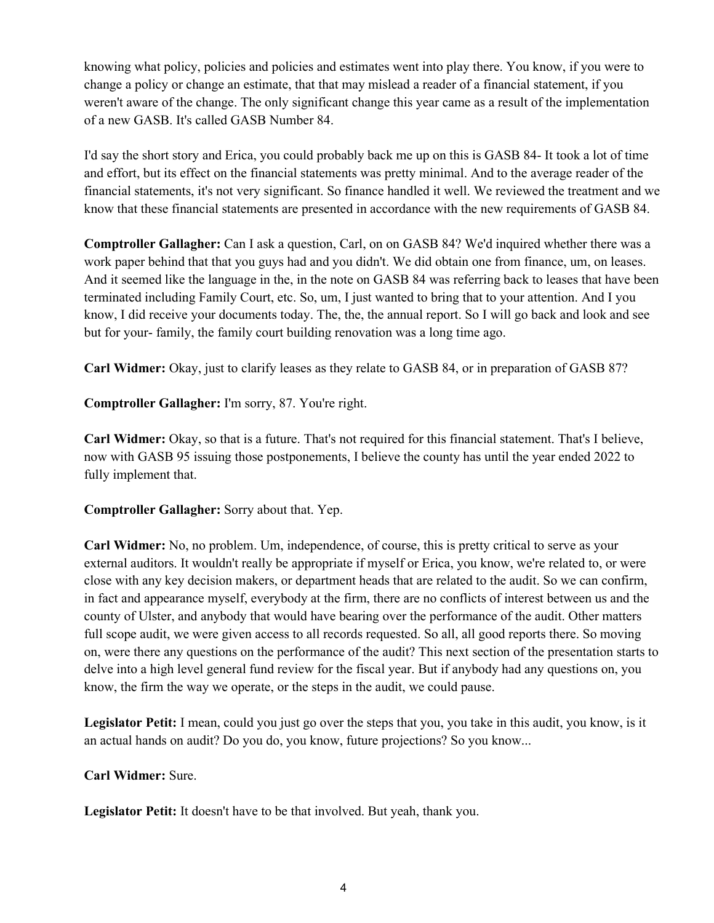knowing what policy, policies and policies and estimates went into play there. You know, if you were to change a policy or change an estimate, that that may mislead a reader of a financial statement, if you weren't aware of the change. The only significant change this year came as a result of the implementation of a new GASB. It's called GASB Number 84.

I'd say the short story and Erica, you could probably back me up on this is GASB 84- It took a lot of time and effort, but its effect on the financial statements was pretty minimal. And to the average reader of the financial statements, it's not very significant. So finance handled it well. We reviewed the treatment and we know that these financial statements are presented in accordance with the new requirements of GASB 84.

**Comptroller Gallagher:** Can I ask a question, Carl, on on GASB 84? We'd inquired whether there was a work paper behind that that you guys had and you didn't. We did obtain one from finance, um, on leases. And it seemed like the language in the, in the note on GASB 84 was referring back to leases that have been terminated including Family Court, etc. So, um, I just wanted to bring that to your attention. And I you know, I did receive your documents today. The, the, the annual report. So I will go back and look and see but for your- family, the family court building renovation was a long time ago.

**Carl Widmer:** Okay, just to clarify leases as they relate to GASB 84, or in preparation of GASB 87?

**Comptroller Gallagher:** I'm sorry, 87. You're right.

**Carl Widmer:** Okay, so that is a future. That's not required for this financial statement. That's I believe, now with GASB 95 issuing those postponements, I believe the county has until the year ended 2022 to fully implement that.

**Comptroller Gallagher:** Sorry about that. Yep.

**Carl Widmer:** No, no problem. Um, independence, of course, this is pretty critical to serve as your external auditors. It wouldn't really be appropriate if myself or Erica, you know, we're related to, or were close with any key decision makers, or department heads that are related to the audit. So we can confirm, in fact and appearance myself, everybody at the firm, there are no conflicts of interest between us and the county of Ulster, and anybody that would have bearing over the performance of the audit. Other matters full scope audit, we were given access to all records requested. So all, all good reports there. So moving on, were there any questions on the performance of the audit? This next section of the presentation starts to delve into a high level general fund review for the fiscal year. But if anybody had any questions on, you know, the firm the way we operate, or the steps in the audit, we could pause.

**Legislator Petit:** I mean, could you just go over the steps that you, you take in this audit, you know, is it an actual hands on audit? Do you do, you know, future projections? So you know...

**Carl Widmer:** Sure.

**Legislator Petit:** It doesn't have to be that involved. But yeah, thank you.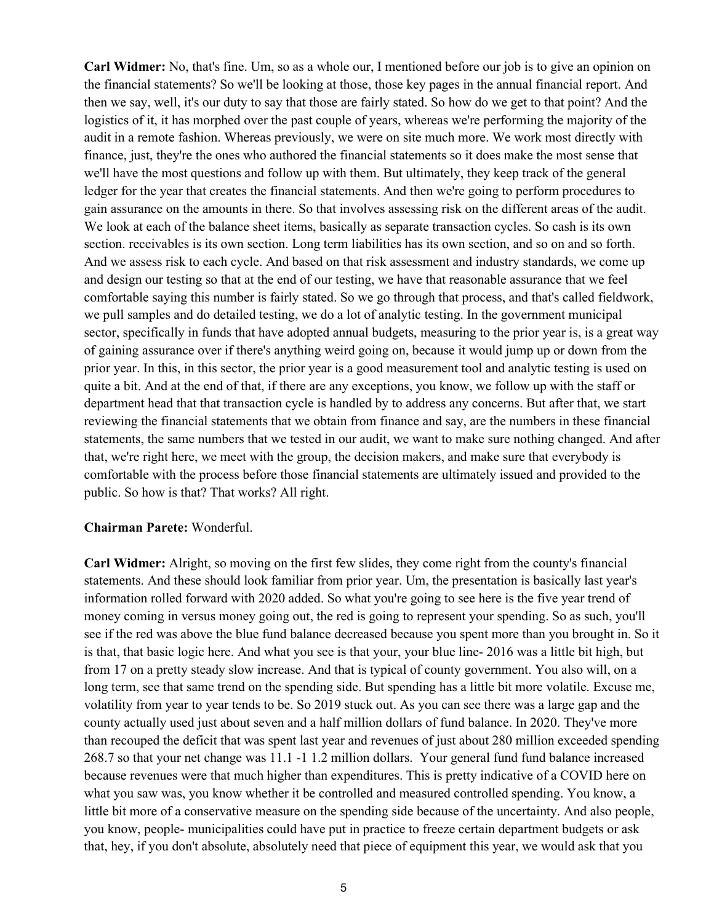**Carl Widmer:** No, that's fine. Um, so as a whole our, I mentioned before our job is to give an opinion on the financial statements? So we'll be looking at those, those key pages in the annual financial report. And then we say, well, it's our duty to say that those are fairly stated. So how do we get to that point? And the logistics of it, it has morphed over the past couple of years, whereas we're performing the majority of the audit in a remote fashion. Whereas previously, we were on site much more. We work most directly with finance, just, they're the ones who authored the financial statements so it does make the most sense that we'll have the most questions and follow up with them. But ultimately, they keep track of the general ledger for the year that creates the financial statements. And then we're going to perform procedures to gain assurance on the amounts in there. So that involves assessing risk on the different areas of the audit. We look at each of the balance sheet items, basically as separate transaction cycles. So cash is its own section. receivables is its own section. Long term liabilities has its own section, and so on and so forth. And we assess risk to each cycle. And based on that risk assessment and industry standards, we come up and design our testing so that at the end of our testing, we have that reasonable assurance that we feel comfortable saying this number is fairly stated. So we go through that process, and that's called fieldwork, we pull samples and do detailed testing, we do a lot of analytic testing. In the government municipal sector, specifically in funds that have adopted annual budgets, measuring to the prior year is, is a great way of gaining assurance over if there's anything weird going on, because it would jump up or down from the prior year. In this, in this sector, the prior year is a good measurement tool and analytic testing is used on quite a bit. And at the end of that, if there are any exceptions, you know, we follow up with the staff or department head that that transaction cycle is handled by to address any concerns. But after that, we start reviewing the financial statements that we obtain from finance and say, are the numbers in these financial statements, the same numbers that we tested in our audit, we want to make sure nothing changed. And after that, we're right here, we meet with the group, the decision makers, and make sure that everybody is comfortable with the process before those financial statements are ultimately issued and provided to the public. So how is that? That works? All right.

#### **Chairman Parete:** Wonderful.

**Carl Widmer:** Alright, so moving on the first few slides, they come right from the county's financial statements. And these should look familiar from prior year. Um, the presentation is basically last year's information rolled forward with 2020 added. So what you're going to see here is the five year trend of money coming in versus money going out, the red is going to represent your spending. So as such, you'll see if the red was above the blue fund balance decreased because you spent more than you brought in. So it is that, that basic logic here. And what you see is that your, your blue line- 2016 was a little bit high, but from 17 on a pretty steady slow increase. And that is typical of county government. You also will, on a long term, see that same trend on the spending side. But spending has a little bit more volatile. Excuse me, volatility from year to year tends to be. So 2019 stuck out. As you can see there was a large gap and the county actually used just about seven and a half million dollars of fund balance. In 2020. They've more than recouped the deficit that was spent last year and revenues of just about 280 million exceeded spending 268.7 so that your net change was 11.1 -1 1.2 million dollars. Your general fund fund balance increased because revenues were that much higher than expenditures. This is pretty indicative of a COVID here on what you saw was, you know whether it be controlled and measured controlled spending. You know, a little bit more of a conservative measure on the spending side because of the uncertainty. And also people, you know, people- municipalities could have put in practice to freeze certain department budgets or ask that, hey, if you don't absolute, absolutely need that piece of equipment this year, we would ask that you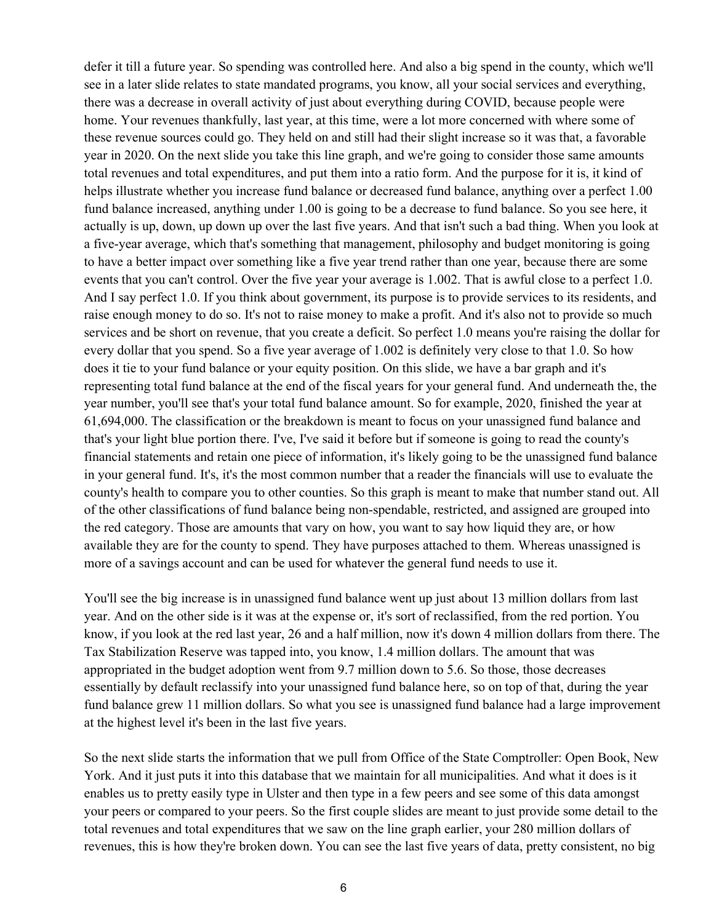defer it till a future year. So spending was controlled here. And also a big spend in the county, which we'll see in a later slide relates to state mandated programs, you know, all your social services and everything, there was a decrease in overall activity of just about everything during COVID, because people were home. Your revenues thankfully, last year, at this time, were a lot more concerned with where some of these revenue sources could go. They held on and still had their slight increase so it was that, a favorable year in 2020. On the next slide you take this line graph, and we're going to consider those same amounts total revenues and total expenditures, and put them into a ratio form. And the purpose for it is, it kind of helps illustrate whether you increase fund balance or decreased fund balance, anything over a perfect 1.00 fund balance increased, anything under 1.00 is going to be a decrease to fund balance. So you see here, it actually is up, down, up down up over the last five years. And that isn't such a bad thing. When you look at a five-year average, which that's something that management, philosophy and budget monitoring is going to have a better impact over something like a five year trend rather than one year, because there are some events that you can't control. Over the five year your average is 1.002. That is awful close to a perfect 1.0. And I say perfect 1.0. If you think about government, its purpose is to provide services to its residents, and raise enough money to do so. It's not to raise money to make a profit. And it's also not to provide so much services and be short on revenue, that you create a deficit. So perfect 1.0 means you're raising the dollar for every dollar that you spend. So a five year average of 1.002 is definitely very close to that 1.0. So how does it tie to your fund balance or your equity position. On this slide, we have a bar graph and it's representing total fund balance at the end of the fiscal years for your general fund. And underneath the, the year number, you'll see that's your total fund balance amount. So for example, 2020, finished the year at 61,694,000. The classification or the breakdown is meant to focus on your unassigned fund balance and that's your light blue portion there. I've, I've said it before but if someone is going to read the county's financial statements and retain one piece of information, it's likely going to be the unassigned fund balance in your general fund. It's, it's the most common number that a reader the financials will use to evaluate the county's health to compare you to other counties. So this graph is meant to make that number stand out. All of the other classifications of fund balance being non-spendable, restricted, and assigned are grouped into the red category. Those are amounts that vary on how, you want to say how liquid they are, or how available they are for the county to spend. They have purposes attached to them. Whereas unassigned is more of a savings account and can be used for whatever the general fund needs to use it.

You'll see the big increase is in unassigned fund balance went up just about 13 million dollars from last year. And on the other side is it was at the expense or, it's sort of reclassified, from the red portion. You know, if you look at the red last year, 26 and a half million, now it's down 4 million dollars from there. The Tax Stabilization Reserve was tapped into, you know, 1.4 million dollars. The amount that was appropriated in the budget adoption went from 9.7 million down to 5.6. So those, those decreases essentially by default reclassify into your unassigned fund balance here, so on top of that, during the year fund balance grew 11 million dollars. So what you see is unassigned fund balance had a large improvement at the highest level it's been in the last five years.

So the next slide starts the information that we pull from Office of the State Comptroller: Open Book, New York. And it just puts it into this database that we maintain for all municipalities. And what it does is it enables us to pretty easily type in Ulster and then type in a few peers and see some of this data amongst your peers or compared to your peers. So the first couple slides are meant to just provide some detail to the total revenues and total expenditures that we saw on the line graph earlier, your 280 million dollars of revenues, this is how they're broken down. You can see the last five years of data, pretty consistent, no big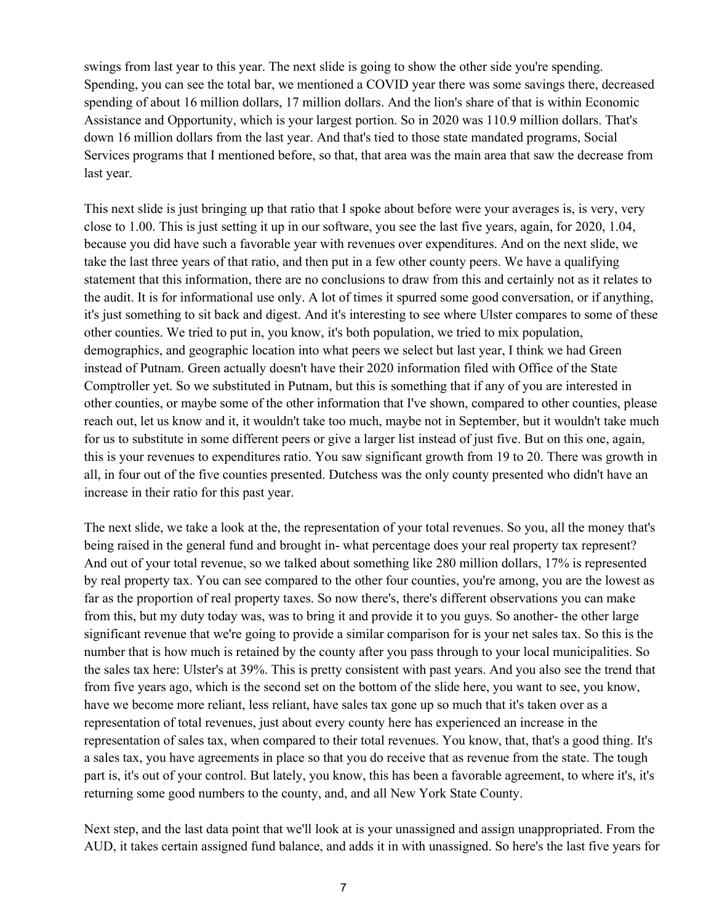swings from last year to this year. The next slide is going to show the other side you're spending. Spending, you can see the total bar, we mentioned a COVID year there was some savings there, decreased spending of about 16 million dollars, 17 million dollars. And the lion's share of that is within Economic Assistance and Opportunity, which is your largest portion. So in 2020 was 110.9 million dollars. That's down 16 million dollars from the last year. And that's tied to those state mandated programs, Social Services programs that I mentioned before, so that, that area was the main area that saw the decrease from last year.

This next slide is just bringing up that ratio that I spoke about before were your averages is, is very, very close to 1.00. This is just setting it up in our software, you see the last five years, again, for 2020, 1.04, because you did have such a favorable year with revenues over expenditures. And on the next slide, we take the last three years of that ratio, and then put in a few other county peers. We have a qualifying statement that this information, there are no conclusions to draw from this and certainly not as it relates to the audit. It is for informational use only. A lot of times it spurred some good conversation, or if anything, it's just something to sit back and digest. And it's interesting to see where Ulster compares to some of these other counties. We tried to put in, you know, it's both population, we tried to mix population, demographics, and geographic location into what peers we select but last year, I think we had Green instead of Putnam. Green actually doesn't have their 2020 information filed with Office of the State Comptroller yet. So we substituted in Putnam, but this is something that if any of you are interested in other counties, or maybe some of the other information that I've shown, compared to other counties, please reach out, let us know and it, it wouldn't take too much, maybe not in September, but it wouldn't take much for us to substitute in some different peers or give a larger list instead of just five. But on this one, again, this is your revenues to expenditures ratio. You saw significant growth from 19 to 20. There was growth in all, in four out of the five counties presented. Dutchess was the only county presented who didn't have an increase in their ratio for this past year.

The next slide, we take a look at the, the representation of your total revenues. So you, all the money that's being raised in the general fund and brought in- what percentage does your real property tax represent? And out of your total revenue, so we talked about something like 280 million dollars, 17% is represented by real property tax. You can see compared to the other four counties, you're among, you are the lowest as far as the proportion of real property taxes. So now there's, there's different observations you can make from this, but my duty today was, was to bring it and provide it to you guys. So another- the other large significant revenue that we're going to provide a similar comparison for is your net sales tax. So this is the number that is how much is retained by the county after you pass through to your local municipalities. So the sales tax here: Ulster's at 39%. This is pretty consistent with past years. And you also see the trend that from five years ago, which is the second set on the bottom of the slide here, you want to see, you know, have we become more reliant, less reliant, have sales tax gone up so much that it's taken over as a representation of total revenues, just about every county here has experienced an increase in the representation of sales tax, when compared to their total revenues. You know, that, that's a good thing. It's a sales tax, you have agreements in place so that you do receive that as revenue from the state. The tough part is, it's out of your control. But lately, you know, this has been a favorable agreement, to where it's, it's returning some good numbers to the county, and, and all New York State County.

Next step, and the last data point that we'll look at is your unassigned and assign unappropriated. From the AUD, it takes certain assigned fund balance, and adds it in with unassigned. So here's the last five years for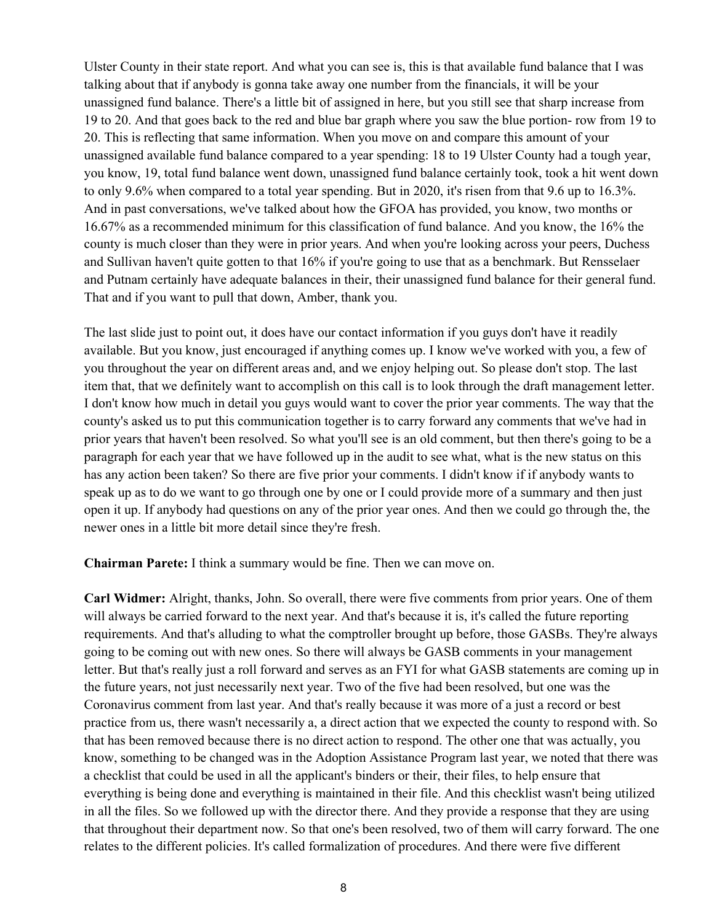Ulster County in their state report. And what you can see is, this is that available fund balance that I was talking about that if anybody is gonna take away one number from the financials, it will be your unassigned fund balance. There's a little bit of assigned in here, but you still see that sharp increase from 19 to 20. And that goes back to the red and blue bar graph where you saw the blue portion- row from 19 to 20. This is reflecting that same information. When you move on and compare this amount of your unassigned available fund balance compared to a year spending: 18 to 19 Ulster County had a tough year, you know, 19, total fund balance went down, unassigned fund balance certainly took, took a hit went down to only 9.6% when compared to a total year spending. But in 2020, it's risen from that 9.6 up to 16.3%. And in past conversations, we've talked about how the GFOA has provided, you know, two months or 16.67% as a recommended minimum for this classification of fund balance. And you know, the 16% the county is much closer than they were in prior years. And when you're looking across your peers, Duchess and Sullivan haven't quite gotten to that 16% if you're going to use that as a benchmark. But Rensselaer and Putnam certainly have adequate balances in their, their unassigned fund balance for their general fund. That and if you want to pull that down, Amber, thank you.

The last slide just to point out, it does have our contact information if you guys don't have it readily available. But you know, just encouraged if anything comes up. I know we've worked with you, a few of you throughout the year on different areas and, and we enjoy helping out. So please don't stop. The last item that, that we definitely want to accomplish on this call is to look through the draft management letter. I don't know how much in detail you guys would want to cover the prior year comments. The way that the county's asked us to put this communication together is to carry forward any comments that we've had in prior years that haven't been resolved. So what you'll see is an old comment, but then there's going to be a paragraph for each year that we have followed up in the audit to see what, what is the new status on this has any action been taken? So there are five prior your comments. I didn't know if if anybody wants to speak up as to do we want to go through one by one or I could provide more of a summary and then just open it up. If anybody had questions on any of the prior year ones. And then we could go through the, the newer ones in a little bit more detail since they're fresh.

**Chairman Parete:** I think a summary would be fine. Then we can move on.

**Carl Widmer:** Alright, thanks, John. So overall, there were five comments from prior years. One of them will always be carried forward to the next year. And that's because it is, it's called the future reporting requirements. And that's alluding to what the comptroller brought up before, those GASBs. They're always going to be coming out with new ones. So there will always be GASB comments in your management letter. But that's really just a roll forward and serves as an FYI for what GASB statements are coming up in the future years, not just necessarily next year. Two of the five had been resolved, but one was the Coronavirus comment from last year. And that's really because it was more of a just a record or best practice from us, there wasn't necessarily a, a direct action that we expected the county to respond with. So that has been removed because there is no direct action to respond. The other one that was actually, you know, something to be changed was in the Adoption Assistance Program last year, we noted that there was a checklist that could be used in all the applicant's binders or their, their files, to help ensure that everything is being done and everything is maintained in their file. And this checklist wasn't being utilized in all the files. So we followed up with the director there. And they provide a response that they are using that throughout their department now. So that one's been resolved, two of them will carry forward. The one relates to the different policies. It's called formalization of procedures. And there were five different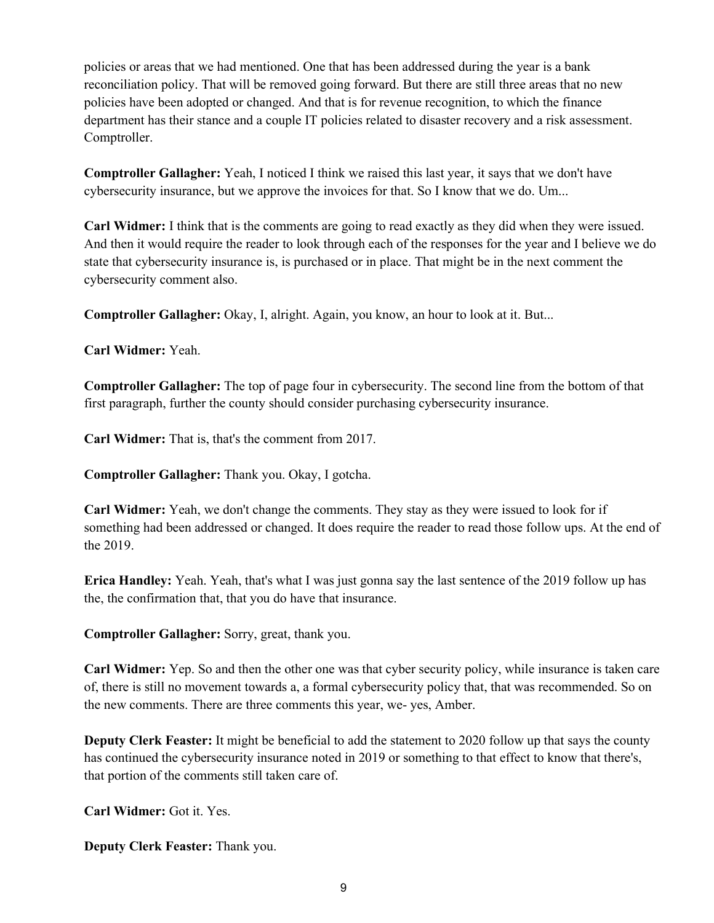policies or areas that we had mentioned. One that has been addressed during the year is a bank reconciliation policy. That will be removed going forward. But there are still three areas that no new policies have been adopted or changed. And that is for revenue recognition, to which the finance department has their stance and a couple IT policies related to disaster recovery and a risk assessment. Comptroller.

**Comptroller Gallagher:** Yeah, I noticed I think we raised this last year, it says that we don't have cybersecurity insurance, but we approve the invoices for that. So I know that we do. Um...

**Carl Widmer:** I think that is the comments are going to read exactly as they did when they were issued. And then it would require the reader to look through each of the responses for the year and I believe we do state that cybersecurity insurance is, is purchased or in place. That might be in the next comment the cybersecurity comment also.

**Comptroller Gallagher:** Okay, I, alright. Again, you know, an hour to look at it. But...

**Carl Widmer:** Yeah.

**Comptroller Gallagher:** The top of page four in cybersecurity. The second line from the bottom of that first paragraph, further the county should consider purchasing cybersecurity insurance.

**Carl Widmer:** That is, that's the comment from 2017.

**Comptroller Gallagher:** Thank you. Okay, I gotcha.

**Carl Widmer:** Yeah, we don't change the comments. They stay as they were issued to look for if something had been addressed or changed. It does require the reader to read those follow ups. At the end of the 2019.

**Erica Handley:** Yeah. Yeah, that's what I was just gonna say the last sentence of the 2019 follow up has the, the confirmation that, that you do have that insurance.

**Comptroller Gallagher:** Sorry, great, thank you.

**Carl Widmer:** Yep. So and then the other one was that cyber security policy, while insurance is taken care of, there is still no movement towards a, a formal cybersecurity policy that, that was recommended. So on the new comments. There are three comments this year, we- yes, Amber.

**Deputy Clerk Feaster:** It might be beneficial to add the statement to 2020 follow up that says the county has continued the cybersecurity insurance noted in 2019 or something to that effect to know that there's, that portion of the comments still taken care of.

**Carl Widmer:** Got it. Yes.

**Deputy Clerk Feaster:** Thank you.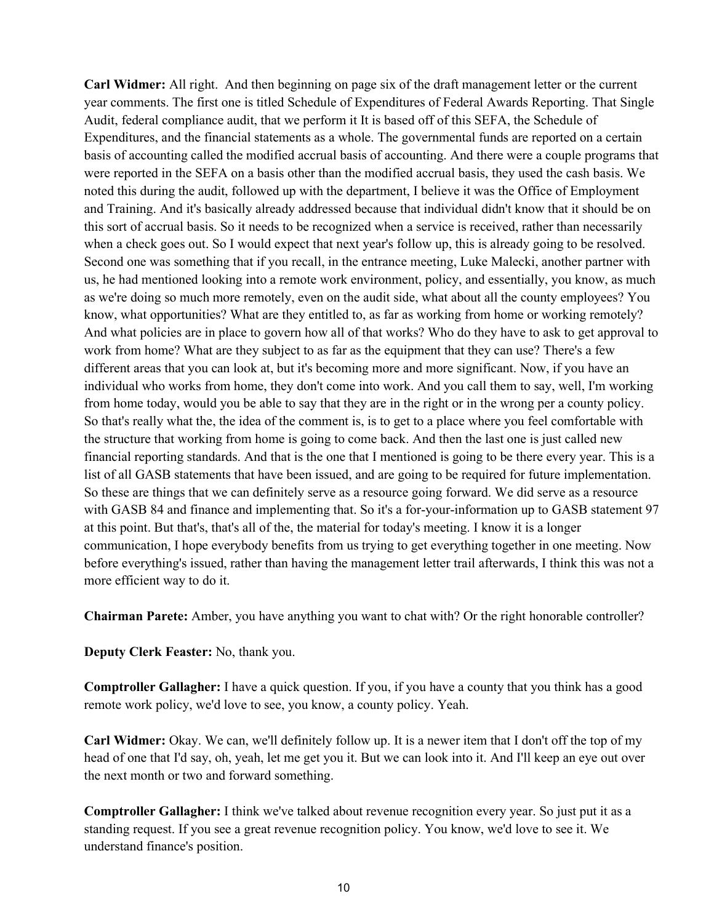**Carl Widmer:** All right. And then beginning on page six of the draft management letter or the current year comments. The first one is titled Schedule of Expenditures of Federal Awards Reporting. That Single Audit, federal compliance audit, that we perform it It is based off of this SEFA, the Schedule of Expenditures, and the financial statements as a whole. The governmental funds are reported on a certain basis of accounting called the modified accrual basis of accounting. And there were a couple programs that were reported in the SEFA on a basis other than the modified accrual basis, they used the cash basis. We noted this during the audit, followed up with the department, I believe it was the Office of Employment and Training. And it's basically already addressed because that individual didn't know that it should be on this sort of accrual basis. So it needs to be recognized when a service is received, rather than necessarily when a check goes out. So I would expect that next year's follow up, this is already going to be resolved. Second one was something that if you recall, in the entrance meeting, Luke Malecki, another partner with us, he had mentioned looking into a remote work environment, policy, and essentially, you know, as much as we're doing so much more remotely, even on the audit side, what about all the county employees? You know, what opportunities? What are they entitled to, as far as working from home or working remotely? And what policies are in place to govern how all of that works? Who do they have to ask to get approval to work from home? What are they subject to as far as the equipment that they can use? There's a few different areas that you can look at, but it's becoming more and more significant. Now, if you have an individual who works from home, they don't come into work. And you call them to say, well, I'm working from home today, would you be able to say that they are in the right or in the wrong per a county policy. So that's really what the, the idea of the comment is, is to get to a place where you feel comfortable with the structure that working from home is going to come back. And then the last one is just called new financial reporting standards. And that is the one that I mentioned is going to be there every year. This is a list of all GASB statements that have been issued, and are going to be required for future implementation. So these are things that we can definitely serve as a resource going forward. We did serve as a resource with GASB 84 and finance and implementing that. So it's a for-your-information up to GASB statement 97 at this point. But that's, that's all of the, the material for today's meeting. I know it is a longer communication, I hope everybody benefits from us trying to get everything together in one meeting. Now before everything's issued, rather than having the management letter trail afterwards, I think this was not a more efficient way to do it.

**Chairman Parete:** Amber, you have anything you want to chat with? Or the right honorable controller?

**Deputy Clerk Feaster:** No, thank you.

**Comptroller Gallagher:** I have a quick question. If you, if you have a county that you think has a good remote work policy, we'd love to see, you know, a county policy. Yeah.

**Carl Widmer:** Okay. We can, we'll definitely follow up. It is a newer item that I don't off the top of my head of one that I'd say, oh, yeah, let me get you it. But we can look into it. And I'll keep an eye out over the next month or two and forward something.

**Comptroller Gallagher:** I think we've talked about revenue recognition every year. So just put it as a standing request. If you see a great revenue recognition policy. You know, we'd love to see it. We understand finance's position.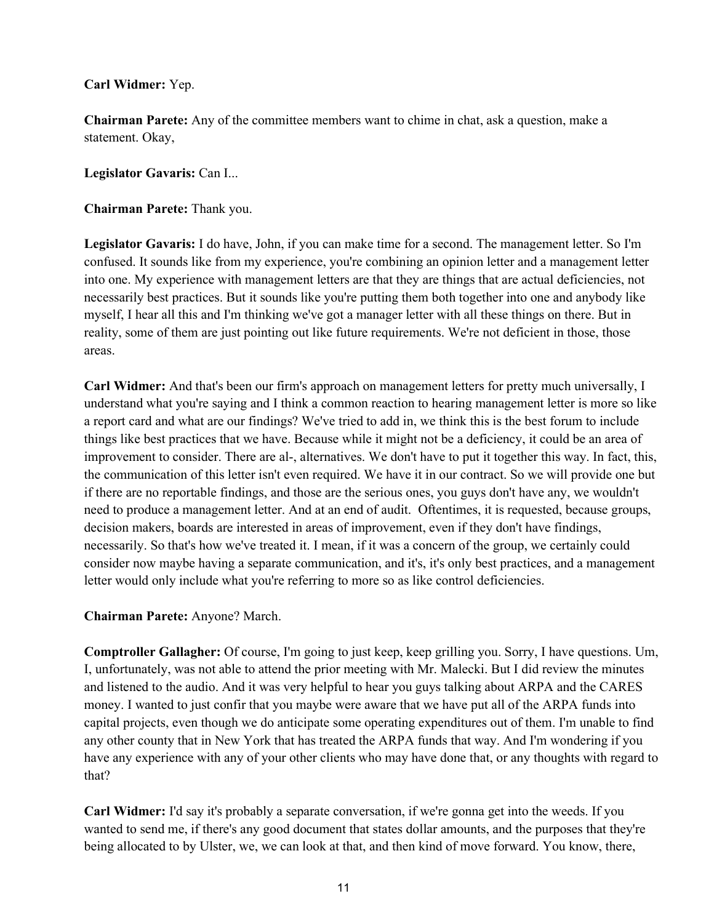**Carl Widmer:** Yep.

**Chairman Parete:** Any of the committee members want to chime in chat, ask a question, make a statement. Okay,

**Legislator Gavaris:** Can I...

**Chairman Parete:** Thank you.

**Legislator Gavaris:** I do have, John, if you can make time for a second. The management letter. So I'm confused. It sounds like from my experience, you're combining an opinion letter and a management letter into one. My experience with management letters are that they are things that are actual deficiencies, not necessarily best practices. But it sounds like you're putting them both together into one and anybody like myself, I hear all this and I'm thinking we've got a manager letter with all these things on there. But in reality, some of them are just pointing out like future requirements. We're not deficient in those, those areas.

**Carl Widmer:** And that's been our firm's approach on management letters for pretty much universally, I understand what you're saying and I think a common reaction to hearing management letter is more so like a report card and what are our findings? We've tried to add in, we think this is the best forum to include things like best practices that we have. Because while it might not be a deficiency, it could be an area of improvement to consider. There are al-, alternatives. We don't have to put it together this way. In fact, this, the communication of this letter isn't even required. We have it in our contract. So we will provide one but if there are no reportable findings, and those are the serious ones, you guys don't have any, we wouldn't need to produce a management letter. And at an end of audit. Oftentimes, it is requested, because groups, decision makers, boards are interested in areas of improvement, even if they don't have findings, necessarily. So that's how we've treated it. I mean, if it was a concern of the group, we certainly could consider now maybe having a separate communication, and it's, it's only best practices, and a management letter would only include what you're referring to more so as like control deficiencies.

**Chairman Parete:** Anyone? March.

**Comptroller Gallagher:** Of course, I'm going to just keep, keep grilling you. Sorry, I have questions. Um, I, unfortunately, was not able to attend the prior meeting with Mr. Malecki. But I did review the minutes and listened to the audio. And it was very helpful to hear you guys talking about ARPA and the CARES money. I wanted to just confir that you maybe were aware that we have put all of the ARPA funds into capital projects, even though we do anticipate some operating expenditures out of them. I'm unable to find any other county that in New York that has treated the ARPA funds that way. And I'm wondering if you have any experience with any of your other clients who may have done that, or any thoughts with regard to that?

**Carl Widmer:** I'd say it's probably a separate conversation, if we're gonna get into the weeds. If you wanted to send me, if there's any good document that states dollar amounts, and the purposes that they're being allocated to by Ulster, we, we can look at that, and then kind of move forward. You know, there,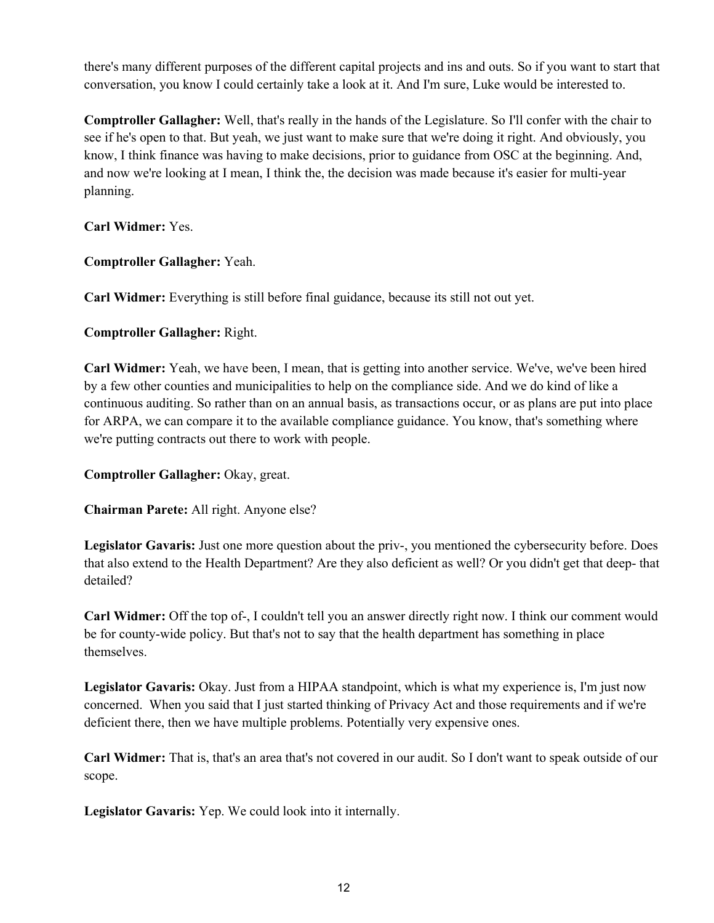there's many different purposes of the different capital projects and ins and outs. So if you want to start that conversation, you know I could certainly take a look at it. And I'm sure, Luke would be interested to.

**Comptroller Gallagher:** Well, that's really in the hands of the Legislature. So I'll confer with the chair to see if he's open to that. But yeah, we just want to make sure that we're doing it right. And obviously, you know, I think finance was having to make decisions, prior to guidance from OSC at the beginning. And, and now we're looking at I mean, I think the, the decision was made because it's easier for multi-year planning.

**Carl Widmer:** Yes.

**Comptroller Gallagher:** Yeah.

**Carl Widmer:** Everything is still before final guidance, because its still not out yet.

**Comptroller Gallagher:** Right.

**Carl Widmer:** Yeah, we have been, I mean, that is getting into another service. We've, we've been hired by a few other counties and municipalities to help on the compliance side. And we do kind of like a continuous auditing. So rather than on an annual basis, as transactions occur, or as plans are put into place for ARPA, we can compare it to the available compliance guidance. You know, that's something where we're putting contracts out there to work with people.

**Comptroller Gallagher:** Okay, great.

**Chairman Parete:** All right. Anyone else?

**Legislator Gavaris:** Just one more question about the priv-, you mentioned the cybersecurity before. Does that also extend to the Health Department? Are they also deficient as well? Or you didn't get that deep- that detailed?

**Carl Widmer:** Off the top of-, I couldn't tell you an answer directly right now. I think our comment would be for county-wide policy. But that's not to say that the health department has something in place themselves.

**Legislator Gavaris:** Okay. Just from a HIPAA standpoint, which is what my experience is, I'm just now concerned. When you said that I just started thinking of Privacy Act and those requirements and if we're deficient there, then we have multiple problems. Potentially very expensive ones.

**Carl Widmer:** That is, that's an area that's not covered in our audit. So I don't want to speak outside of our scope.

**Legislator Gavaris:** Yep. We could look into it internally.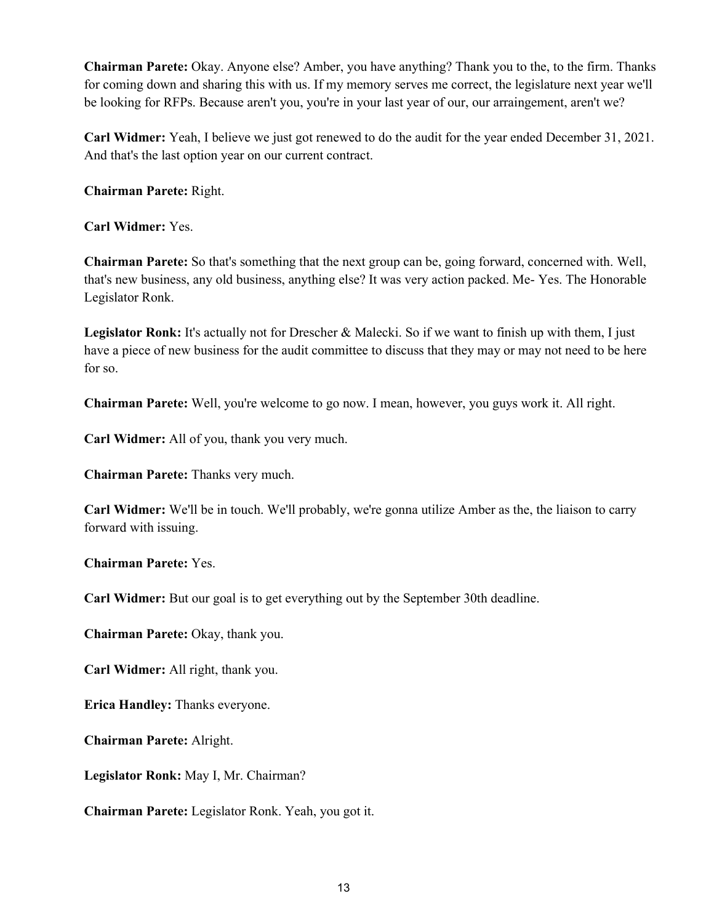**Chairman Parete:** Okay. Anyone else? Amber, you have anything? Thank you to the, to the firm. Thanks for coming down and sharing this with us. If my memory serves me correct, the legislature next year we'll be looking for RFPs. Because aren't you, you're in your last year of our, our arraingement, aren't we?

**Carl Widmer:** Yeah, I believe we just got renewed to do the audit for the year ended December 31, 2021. And that's the last option year on our current contract.

**Chairman Parete:** Right.

**Carl Widmer:** Yes.

**Chairman Parete:** So that's something that the next group can be, going forward, concerned with. Well, that's new business, any old business, anything else? It was very action packed. Me- Yes. The Honorable Legislator Ronk.

**Legislator Ronk:** It's actually not for Drescher & Malecki. So if we want to finish up with them, I just have a piece of new business for the audit committee to discuss that they may or may not need to be here for so.

**Chairman Parete:** Well, you're welcome to go now. I mean, however, you guys work it. All right.

**Carl Widmer:** All of you, thank you very much.

**Chairman Parete:** Thanks very much.

**Carl Widmer:** We'll be in touch. We'll probably, we're gonna utilize Amber as the, the liaison to carry forward with issuing.

**Chairman Parete:** Yes.

**Carl Widmer:** But our goal is to get everything out by the September 30th deadline.

**Chairman Parete:** Okay, thank you.

**Carl Widmer:** All right, thank you.

**Erica Handley:** Thanks everyone.

**Chairman Parete:** Alright.

**Legislator Ronk:** May I, Mr. Chairman?

**Chairman Parete:** Legislator Ronk. Yeah, you got it.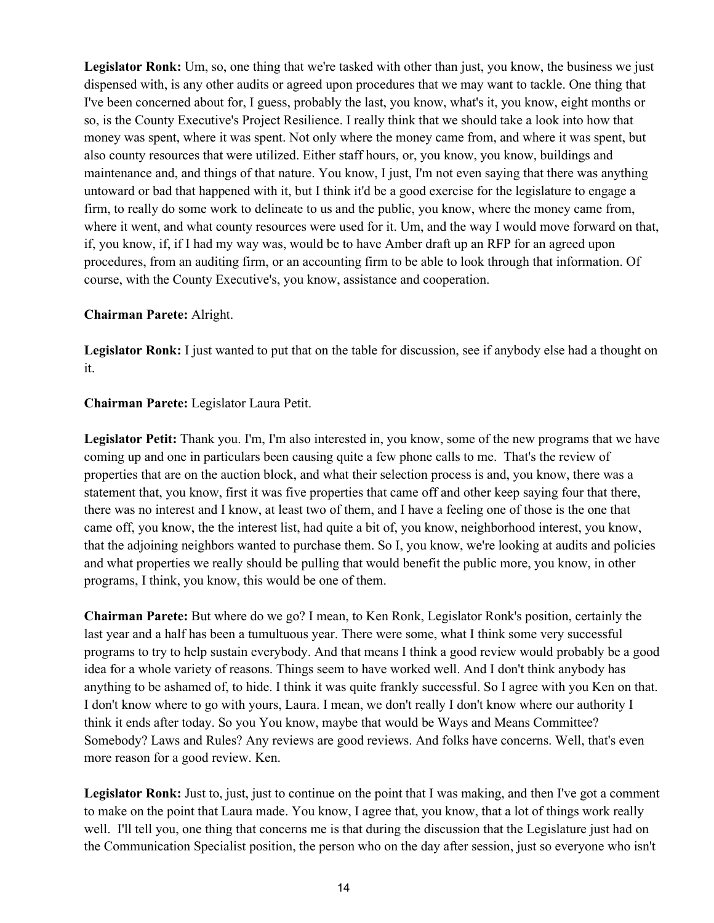**Legislator Ronk:** Um, so, one thing that we're tasked with other than just, you know, the business we just dispensed with, is any other audits or agreed upon procedures that we may want to tackle. One thing that I've been concerned about for, I guess, probably the last, you know, what's it, you know, eight months or so, is the County Executive's Project Resilience. I really think that we should take a look into how that money was spent, where it was spent. Not only where the money came from, and where it was spent, but also county resources that were utilized. Either staff hours, or, you know, you know, buildings and maintenance and, and things of that nature. You know, I just, I'm not even saying that there was anything untoward or bad that happened with it, but I think it'd be a good exercise for the legislature to engage a firm, to really do some work to delineate to us and the public, you know, where the money came from, where it went, and what county resources were used for it. Um, and the way I would move forward on that, if, you know, if, if I had my way was, would be to have Amber draft up an RFP for an agreed upon procedures, from an auditing firm, or an accounting firm to be able to look through that information. Of course, with the County Executive's, you know, assistance and cooperation.

## **Chairman Parete:** Alright.

**Legislator Ronk:** I just wanted to put that on the table for discussion, see if anybody else had a thought on it.

## **Chairman Parete:** Legislator Laura Petit.

**Legislator Petit:** Thank you. I'm, I'm also interested in, you know, some of the new programs that we have coming up and one in particulars been causing quite a few phone calls to me. That's the review of properties that are on the auction block, and what their selection process is and, you know, there was a statement that, you know, first it was five properties that came off and other keep saying four that there, there was no interest and I know, at least two of them, and I have a feeling one of those is the one that came off, you know, the the interest list, had quite a bit of, you know, neighborhood interest, you know, that the adjoining neighbors wanted to purchase them. So I, you know, we're looking at audits and policies and what properties we really should be pulling that would benefit the public more, you know, in other programs, I think, you know, this would be one of them.

**Chairman Parete:** But where do we go? I mean, to Ken Ronk, Legislator Ronk's position, certainly the last year and a half has been a tumultuous year. There were some, what I think some very successful programs to try to help sustain everybody. And that means I think a good review would probably be a good idea for a whole variety of reasons. Things seem to have worked well. And I don't think anybody has anything to be ashamed of, to hide. I think it was quite frankly successful. So I agree with you Ken on that. I don't know where to go with yours, Laura. I mean, we don't really I don't know where our authority I think it ends after today. So you You know, maybe that would be Ways and Means Committee? Somebody? Laws and Rules? Any reviews are good reviews. And folks have concerns. Well, that's even more reason for a good review. Ken.

**Legislator Ronk:** Just to, just, just to continue on the point that I was making, and then I've got a comment to make on the point that Laura made. You know, I agree that, you know, that a lot of things work really well. I'll tell you, one thing that concerns me is that during the discussion that the Legislature just had on the Communication Specialist position, the person who on the day after session, just so everyone who isn't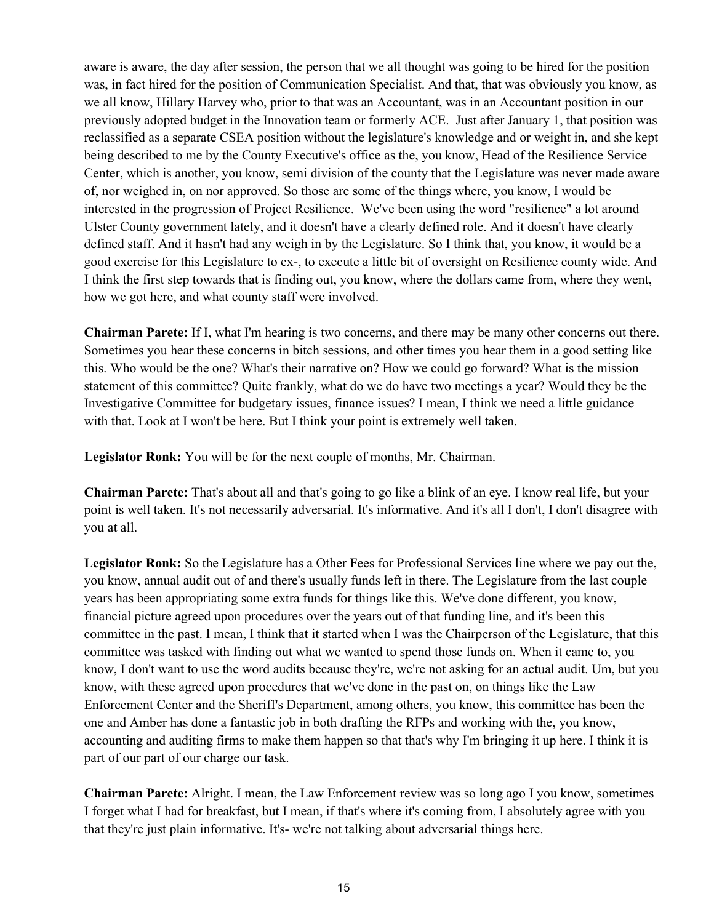aware is aware, the day after session, the person that we all thought was going to be hired for the position was, in fact hired for the position of Communication Specialist. And that, that was obviously you know, as we all know, Hillary Harvey who, prior to that was an Accountant, was in an Accountant position in our previously adopted budget in the Innovation team or formerly ACE. Just after January 1, that position was reclassified as a separate CSEA position without the legislature's knowledge and or weight in, and she kept being described to me by the County Executive's office as the, you know, Head of the Resilience Service Center, which is another, you know, semi division of the county that the Legislature was never made aware of, nor weighed in, on nor approved. So those are some of the things where, you know, I would be interested in the progression of Project Resilience. We've been using the word "resilience" a lot around Ulster County government lately, and it doesn't have a clearly defined role. And it doesn't have clearly defined staff. And it hasn't had any weigh in by the Legislature. So I think that, you know, it would be a good exercise for this Legislature to ex-, to execute a little bit of oversight on Resilience county wide. And I think the first step towards that is finding out, you know, where the dollars came from, where they went, how we got here, and what county staff were involved.

**Chairman Parete:** If I, what I'm hearing is two concerns, and there may be many other concerns out there. Sometimes you hear these concerns in bitch sessions, and other times you hear them in a good setting like this. Who would be the one? What's their narrative on? How we could go forward? What is the mission statement of this committee? Quite frankly, what do we do have two meetings a year? Would they be the Investigative Committee for budgetary issues, finance issues? I mean, I think we need a little guidance with that. Look at I won't be here. But I think your point is extremely well taken.

**Legislator Ronk:** You will be for the next couple of months, Mr. Chairman.

**Chairman Parete:** That's about all and that's going to go like a blink of an eye. I know real life, but your point is well taken. It's not necessarily adversarial. It's informative. And it's all I don't, I don't disagree with you at all.

**Legislator Ronk:** So the Legislature has a Other Fees for Professional Services line where we pay out the, you know, annual audit out of and there's usually funds left in there. The Legislature from the last couple years has been appropriating some extra funds for things like this. We've done different, you know, financial picture agreed upon procedures over the years out of that funding line, and it's been this committee in the past. I mean, I think that it started when I was the Chairperson of the Legislature, that this committee was tasked with finding out what we wanted to spend those funds on. When it came to, you know, I don't want to use the word audits because they're, we're not asking for an actual audit. Um, but you know, with these agreed upon procedures that we've done in the past on, on things like the Law Enforcement Center and the Sheriff's Department, among others, you know, this committee has been the one and Amber has done a fantastic job in both drafting the RFPs and working with the, you know, accounting and auditing firms to make them happen so that that's why I'm bringing it up here. I think it is part of our part of our charge our task.

**Chairman Parete:** Alright. I mean, the Law Enforcement review was so long ago I you know, sometimes I forget what I had for breakfast, but I mean, if that's where it's coming from, I absolutely agree with you that they're just plain informative. It's- we're not talking about adversarial things here.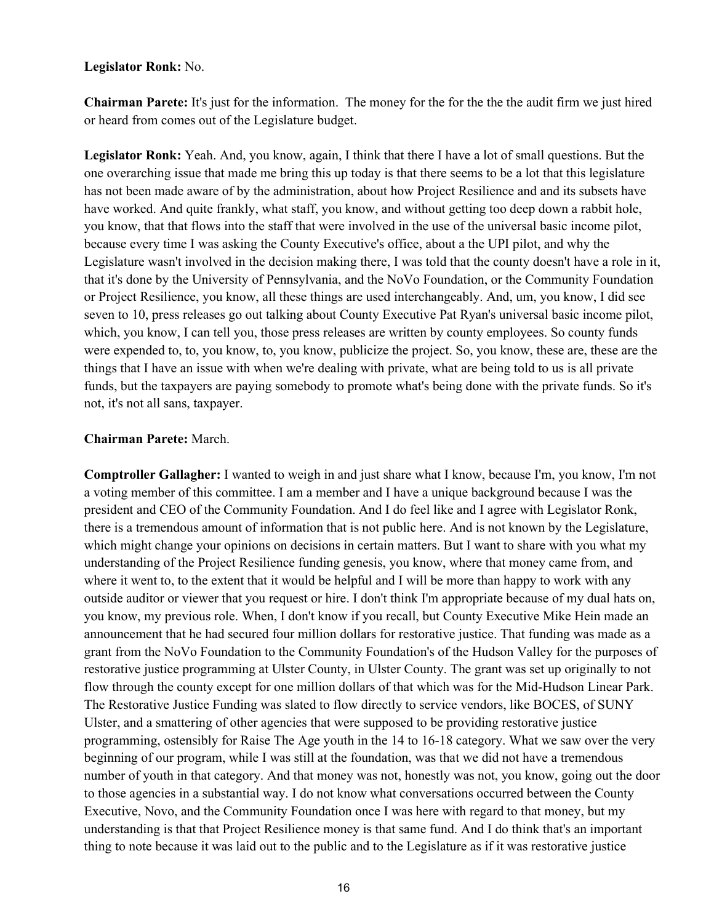### **Legislator Ronk:** No.

**Chairman Parete:** It's just for the information. The money for the for the the the audit firm we just hired or heard from comes out of the Legislature budget.

**Legislator Ronk:** Yeah. And, you know, again, I think that there I have a lot of small questions. But the one overarching issue that made me bring this up today is that there seems to be a lot that this legislature has not been made aware of by the administration, about how Project Resilience and and its subsets have have worked. And quite frankly, what staff, you know, and without getting too deep down a rabbit hole, you know, that that flows into the staff that were involved in the use of the universal basic income pilot, because every time I was asking the County Executive's office, about a the UPI pilot, and why the Legislature wasn't involved in the decision making there, I was told that the county doesn't have a role in it, that it's done by the University of Pennsylvania, and the NoVo Foundation, or the Community Foundation or Project Resilience, you know, all these things are used interchangeably. And, um, you know, I did see seven to 10, press releases go out talking about County Executive Pat Ryan's universal basic income pilot, which, you know, I can tell you, those press releases are written by county employees. So county funds were expended to, to, you know, to, you know, publicize the project. So, you know, these are, these are the things that I have an issue with when we're dealing with private, what are being told to us is all private funds, but the taxpayers are paying somebody to promote what's being done with the private funds. So it's not, it's not all sans, taxpayer.

# **Chairman Parete:** March.

**Comptroller Gallagher:** I wanted to weigh in and just share what I know, because I'm, you know, I'm not a voting member of this committee. I am a member and I have a unique background because I was the president and CEO of the Community Foundation. And I do feel like and I agree with Legislator Ronk, there is a tremendous amount of information that is not public here. And is not known by the Legislature, which might change your opinions on decisions in certain matters. But I want to share with you what my understanding of the Project Resilience funding genesis, you know, where that money came from, and where it went to, to the extent that it would be helpful and I will be more than happy to work with any outside auditor or viewer that you request or hire. I don't think I'm appropriate because of my dual hats on, you know, my previous role. When, I don't know if you recall, but County Executive Mike Hein made an announcement that he had secured four million dollars for restorative justice. That funding was made as a grant from the NoVo Foundation to the Community Foundation's of the Hudson Valley for the purposes of restorative justice programming at Ulster County, in Ulster County. The grant was set up originally to not flow through the county except for one million dollars of that which was for the Mid-Hudson Linear Park. The Restorative Justice Funding was slated to flow directly to service vendors, like BOCES, of SUNY Ulster, and a smattering of other agencies that were supposed to be providing restorative justice programming, ostensibly for Raise The Age youth in the 14 to 16-18 category. What we saw over the very beginning of our program, while I was still at the foundation, was that we did not have a tremendous number of youth in that category. And that money was not, honestly was not, you know, going out the door to those agencies in a substantial way. I do not know what conversations occurred between the County Executive, Novo, and the Community Foundation once I was here with regard to that money, but my understanding is that that Project Resilience money is that same fund. And I do think that's an important thing to note because it was laid out to the public and to the Legislature as if it was restorative justice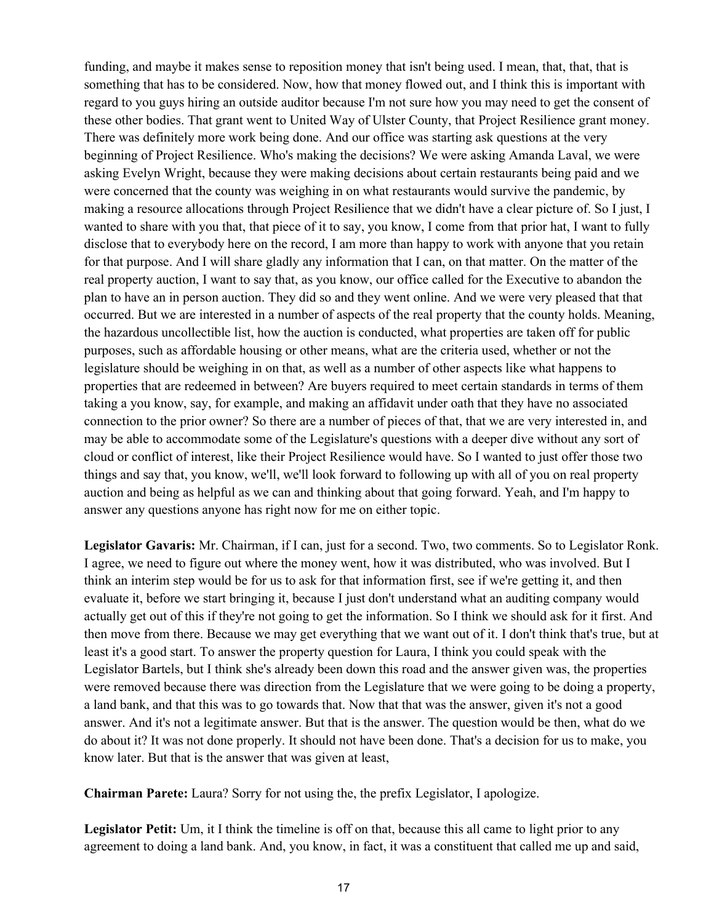funding, and maybe it makes sense to reposition money that isn't being used. I mean, that, that, that is something that has to be considered. Now, how that money flowed out, and I think this is important with regard to you guys hiring an outside auditor because I'm not sure how you may need to get the consent of these other bodies. That grant went to United Way of Ulster County, that Project Resilience grant money. There was definitely more work being done. And our office was starting ask questions at the very beginning of Project Resilience. Who's making the decisions? We were asking Amanda Laval, we were asking Evelyn Wright, because they were making decisions about certain restaurants being paid and we were concerned that the county was weighing in on what restaurants would survive the pandemic, by making a resource allocations through Project Resilience that we didn't have a clear picture of. So I just, I wanted to share with you that, that piece of it to say, you know, I come from that prior hat, I want to fully disclose that to everybody here on the record, I am more than happy to work with anyone that you retain for that purpose. And I will share gladly any information that I can, on that matter. On the matter of the real property auction, I want to say that, as you know, our office called for the Executive to abandon the plan to have an in person auction. They did so and they went online. And we were very pleased that that occurred. But we are interested in a number of aspects of the real property that the county holds. Meaning, the hazardous uncollectible list, how the auction is conducted, what properties are taken off for public purposes, such as affordable housing or other means, what are the criteria used, whether or not the legislature should be weighing in on that, as well as a number of other aspects like what happens to properties that are redeemed in between? Are buyers required to meet certain standards in terms of them taking a you know, say, for example, and making an affidavit under oath that they have no associated connection to the prior owner? So there are a number of pieces of that, that we are very interested in, and may be able to accommodate some of the Legislature's questions with a deeper dive without any sort of cloud or conflict of interest, like their Project Resilience would have. So I wanted to just offer those two things and say that, you know, we'll, we'll look forward to following up with all of you on real property auction and being as helpful as we can and thinking about that going forward. Yeah, and I'm happy to answer any questions anyone has right now for me on either topic.

**Legislator Gavaris:** Mr. Chairman, if I can, just for a second. Two, two comments. So to Legislator Ronk. I agree, we need to figure out where the money went, how it was distributed, who was involved. But I think an interim step would be for us to ask for that information first, see if we're getting it, and then evaluate it, before we start bringing it, because I just don't understand what an auditing company would actually get out of this if they're not going to get the information. So I think we should ask for it first. And then move from there. Because we may get everything that we want out of it. I don't think that's true, but at least it's a good start. To answer the property question for Laura, I think you could speak with the Legislator Bartels, but I think she's already been down this road and the answer given was, the properties were removed because there was direction from the Legislature that we were going to be doing a property, a land bank, and that this was to go towards that. Now that that was the answer, given it's not a good answer. And it's not a legitimate answer. But that is the answer. The question would be then, what do we do about it? It was not done properly. It should not have been done. That's a decision for us to make, you know later. But that is the answer that was given at least,

**Chairman Parete:** Laura? Sorry for not using the, the prefix Legislator, I apologize.

**Legislator Petit:** Um, it I think the timeline is off on that, because this all came to light prior to any agreement to doing a land bank. And, you know, in fact, it was a constituent that called me up and said,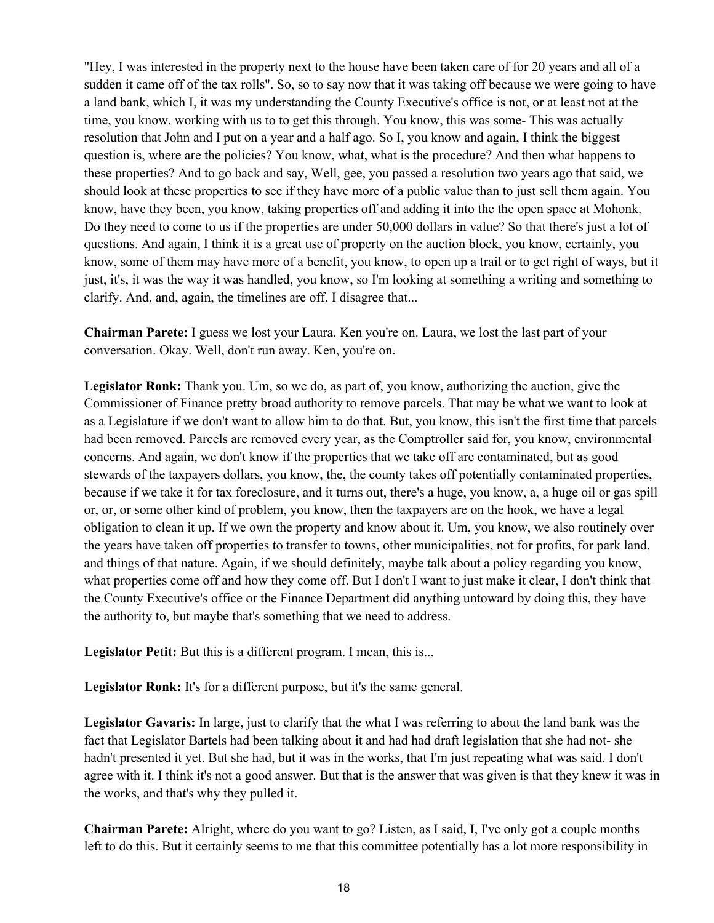"Hey, I was interested in the property next to the house have been taken care of for 20 years and all of a sudden it came off of the tax rolls". So, so to say now that it was taking off because we were going to have a land bank, which I, it was my understanding the County Executive's office is not, or at least not at the time, you know, working with us to to get this through. You know, this was some- This was actually resolution that John and I put on a year and a half ago. So I, you know and again, I think the biggest question is, where are the policies? You know, what, what is the procedure? And then what happens to these properties? And to go back and say, Well, gee, you passed a resolution two years ago that said, we should look at these properties to see if they have more of a public value than to just sell them again. You know, have they been, you know, taking properties off and adding it into the the open space at Mohonk. Do they need to come to us if the properties are under 50,000 dollars in value? So that there's just a lot of questions. And again, I think it is a great use of property on the auction block, you know, certainly, you know, some of them may have more of a benefit, you know, to open up a trail or to get right of ways, but it just, it's, it was the way it was handled, you know, so I'm looking at something a writing and something to clarify. And, and, again, the timelines are off. I disagree that...

**Chairman Parete:** I guess we lost your Laura. Ken you're on. Laura, we lost the last part of your conversation. Okay. Well, don't run away. Ken, you're on.

**Legislator Ronk:** Thank you. Um, so we do, as part of, you know, authorizing the auction, give the Commissioner of Finance pretty broad authority to remove parcels. That may be what we want to look at as a Legislature if we don't want to allow him to do that. But, you know, this isn't the first time that parcels had been removed. Parcels are removed every year, as the Comptroller said for, you know, environmental concerns. And again, we don't know if the properties that we take off are contaminated, but as good stewards of the taxpayers dollars, you know, the, the county takes off potentially contaminated properties, because if we take it for tax foreclosure, and it turns out, there's a huge, you know, a, a huge oil or gas spill or, or, or some other kind of problem, you know, then the taxpayers are on the hook, we have a legal obligation to clean it up. If we own the property and know about it. Um, you know, we also routinely over the years have taken off properties to transfer to towns, other municipalities, not for profits, for park land, and things of that nature. Again, if we should definitely, maybe talk about a policy regarding you know, what properties come off and how they come off. But I don't I want to just make it clear, I don't think that the County Executive's office or the Finance Department did anything untoward by doing this, they have the authority to, but maybe that's something that we need to address.

**Legislator Petit:** But this is a different program. I mean, this is...

Legislator Ronk: It's for a different purpose, but it's the same general.

**Legislator Gavaris:** In large, just to clarify that the what I was referring to about the land bank was the fact that Legislator Bartels had been talking about it and had had draft legislation that she had not- she hadn't presented it yet. But she had, but it was in the works, that I'm just repeating what was said. I don't agree with it. I think it's not a good answer. But that is the answer that was given is that they knew it was in the works, and that's why they pulled it.

**Chairman Parete:** Alright, where do you want to go? Listen, as I said, I, I've only got a couple months left to do this. But it certainly seems to me that this committee potentially has a lot more responsibility in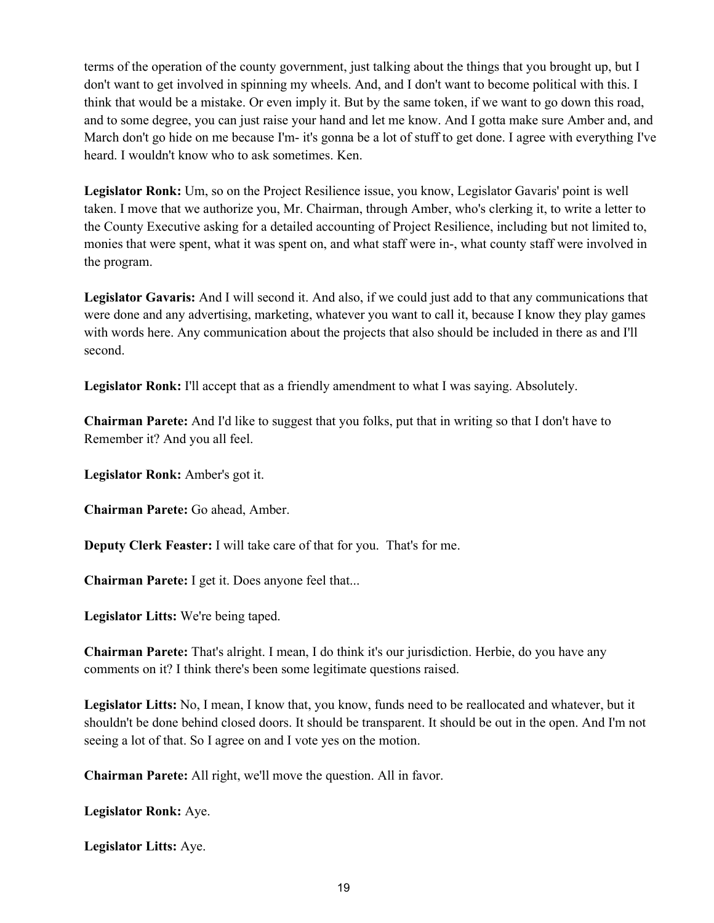terms of the operation of the county government, just talking about the things that you brought up, but I don't want to get involved in spinning my wheels. And, and I don't want to become political with this. I think that would be a mistake. Or even imply it. But by the same token, if we want to go down this road, and to some degree, you can just raise your hand and let me know. And I gotta make sure Amber and, and March don't go hide on me because I'm- it's gonna be a lot of stuff to get done. I agree with everything I've heard. I wouldn't know who to ask sometimes. Ken.

**Legislator Ronk:** Um, so on the Project Resilience issue, you know, Legislator Gavaris' point is well taken. I move that we authorize you, Mr. Chairman, through Amber, who's clerking it, to write a letter to the County Executive asking for a detailed accounting of Project Resilience, including but not limited to, monies that were spent, what it was spent on, and what staff were in-, what county staff were involved in the program.

**Legislator Gavaris:** And I will second it. And also, if we could just add to that any communications that were done and any advertising, marketing, whatever you want to call it, because I know they play games with words here. Any communication about the projects that also should be included in there as and I'll second.

**Legislator Ronk:** I'll accept that as a friendly amendment to what I was saying. Absolutely.

**Chairman Parete:** And I'd like to suggest that you folks, put that in writing so that I don't have to Remember it? And you all feel.

**Legislator Ronk:** Amber's got it.

**Chairman Parete:** Go ahead, Amber.

**Deputy Clerk Feaster:** I will take care of that for you. That's for me.

**Chairman Parete:** I get it. Does anyone feel that...

**Legislator Litts:** We're being taped.

**Chairman Parete:** That's alright. I mean, I do think it's our jurisdiction. Herbie, do you have any comments on it? I think there's been some legitimate questions raised.

**Legislator Litts:** No, I mean, I know that, you know, funds need to be reallocated and whatever, but it shouldn't be done behind closed doors. It should be transparent. It should be out in the open. And I'm not seeing a lot of that. So I agree on and I vote yes on the motion.

**Chairman Parete:** All right, we'll move the question. All in favor.

**Legislator Ronk:** Aye.

**Legislator Litts:** Aye.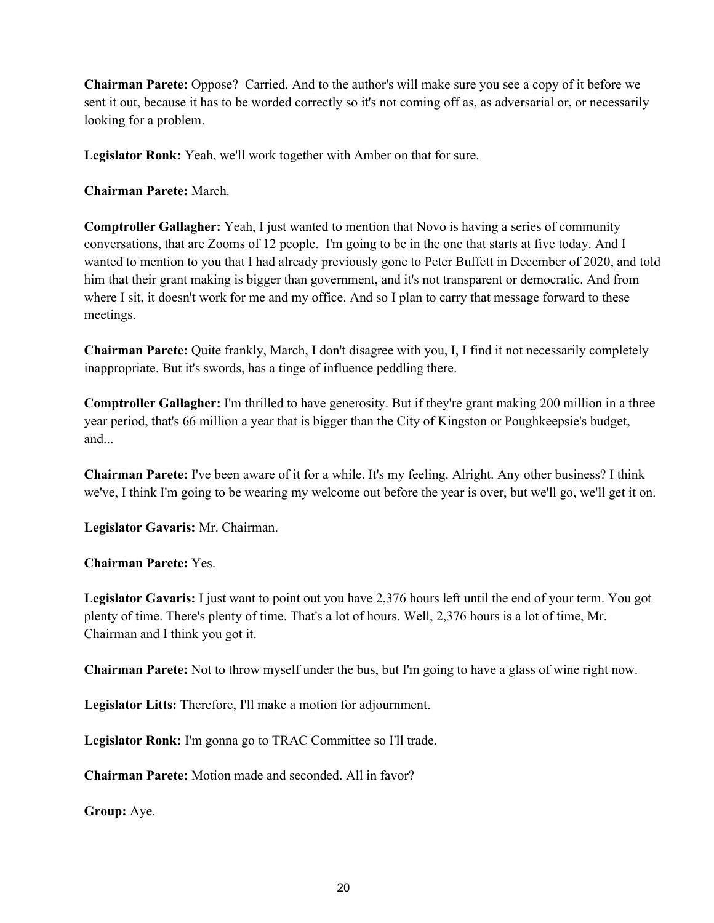**Chairman Parete:** Oppose? Carried. And to the author's will make sure you see a copy of it before we sent it out, because it has to be worded correctly so it's not coming off as, as adversarial or, or necessarily looking for a problem.

**Legislator Ronk:** Yeah, we'll work together with Amber on that for sure.

**Chairman Parete:** March.

**Comptroller Gallagher:** Yeah, I just wanted to mention that Novo is having a series of community conversations, that are Zooms of 12 people. I'm going to be in the one that starts at five today. And I wanted to mention to you that I had already previously gone to Peter Buffett in December of 2020, and told him that their grant making is bigger than government, and it's not transparent or democratic. And from where I sit, it doesn't work for me and my office. And so I plan to carry that message forward to these meetings.

**Chairman Parete:** Quite frankly, March, I don't disagree with you, I, I find it not necessarily completely inappropriate. But it's swords, has a tinge of influence peddling there.

**Comptroller Gallagher:** I'm thrilled to have generosity. But if they're grant making 200 million in a three year period, that's 66 million a year that is bigger than the City of Kingston or Poughkeepsie's budget, and...

**Chairman Parete:** I've been aware of it for a while. It's my feeling. Alright. Any other business? I think we've, I think I'm going to be wearing my welcome out before the year is over, but we'll go, we'll get it on.

**Legislator Gavaris:** Mr. Chairman.

**Chairman Parete:** Yes.

**Legislator Gavaris:** I just want to point out you have 2,376 hours left until the end of your term. You got plenty of time. There's plenty of time. That's a lot of hours. Well, 2,376 hours is a lot of time, Mr. Chairman and I think you got it.

**Chairman Parete:** Not to throw myself under the bus, but I'm going to have a glass of wine right now.

**Legislator Litts:** Therefore, I'll make a motion for adjournment.

**Legislator Ronk:** I'm gonna go to TRAC Committee so I'll trade.

**Chairman Parete:** Motion made and seconded. All in favor?

**Group:** Aye.